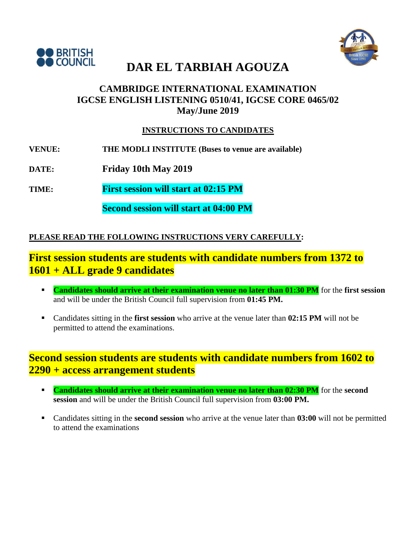



### **CAMBRIDGE INTERNATIONAL EXAMINATION IGCSE ENGLISH LISTENING 0510/41, IGCSE CORE 0465/02 May/June 2019**

#### **INSTRUCTIONS TO CANDIDATES**

- **VENUE: THE MODLI INSTITUTE (Buses to venue are available)**
- **DATE: Friday 10th May 2019**
- **TIME: First session will start at 02:15 PM**

**Second session will start at 04:00 PM**

### **PLEASE READ THE FOLLOWING INSTRUCTIONS VERY CAREFULLY:**

## **First session students are students with candidate numbers from 1372 to 1601 + ALL grade 9 candidates**

- **Candidates should arrive at their examination venue no later than 01:30 PM** for the first session and will be under the British Council full supervision from **01:45 PM.**
- Candidates sitting in the **first session** who arrive at the venue later than **02:15 PM** will not be permitted to attend the examinations.

## **Second session students are students with candidate numbers from 1602 to 2290 + access arrangement students**

- **Candidates should arrive at their examination venue no later than 02:30 PM** for the **second session** and will be under the British Council full supervision from **03:00 PM.**
- Candidates sitting in the **second session** who arrive at the venue later than **03:00** will not be permitted to attend the examinations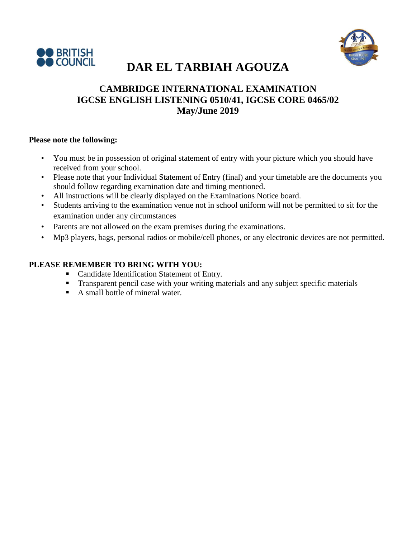



### **CAMBRIDGE INTERNATIONAL EXAMINATION IGCSE ENGLISH LISTENING 0510/41, IGCSE CORE 0465/02 May/June 2019**

#### **Please note the following:**

- You must be in possession of original statement of entry with your picture which you should have received from your school.
- Please note that your Individual Statement of Entry (final) and your timetable are the documents you should follow regarding examination date and timing mentioned.
- All instructions will be clearly displayed on the Examinations Notice board.
- Students arriving to the examination venue not in school uniform will not be permitted to sit for the examination under any circumstances
- Parents are not allowed on the exam premises during the examinations.
- Mp3 players, bags, personal radios or mobile/cell phones, or any electronic devices are not permitted.

#### **PLEASE REMEMBER TO BRING WITH YOU:**

- **Candidate Identification Statement of Entry.**
- **Transparent pencil case with your writing materials and any subject specific materials**
- A small bottle of mineral water.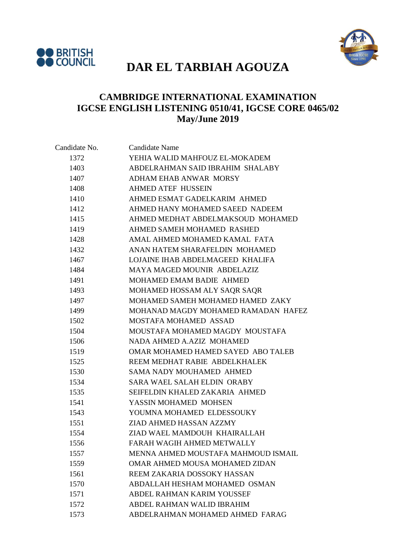



### **CAMBRIDGE INTERNATIONAL EXAMINATION IGCSE ENGLISH LISTENING 0510/41, IGCSE CORE 0465/02 May/June 2019**

| Candidate No. | <b>Candidate Name</b>               |
|---------------|-------------------------------------|
| 1372          | YEHIA WALID MAHFOUZ EL-MOKADEM      |
| 1403          | ABDELRAHMAN SAID IBRAHIM SHALABY    |
| 1407          | ADHAM EHAB ANWAR MORSY              |
| 1408          | <b>AHMED ATEF HUSSEIN</b>           |
| 1410          | AHMED ESMAT GADELKARIM AHMED        |
| 1412          | AHMED HANY MOHAMED SAEED NADEEM     |
| 1415          | AHMED MEDHAT ABDELMAKSOUD MOHAMED   |
| 1419          | AHMED SAMEH MOHAMED RASHED          |
| 1428          | AMAL AHMED MOHAMED KAMAL FATA       |
| 1432          | ANAN HATEM SHARAFELDIN MOHAMED      |
| 1467          | LOJAINE IHAB ABDELMAGEED KHALIFA    |
| 1484          | MAYA MAGED MOUNIR ABDELAZIZ         |
| 1491          | MOHAMED EMAM BADIE AHMED            |
| 1493          | MOHAMED HOSSAM ALY SAQR SAQR        |
| 1497          | MOHAMED SAMEH MOHAMED HAMED ZAKY    |
| 1499          | MOHANAD MAGDY MOHAMED RAMADAN HAFEZ |
| 1502          | MOSTAFA MOHAMED ASSAD               |
| 1504          | MOUSTAFA MOHAMED MAGDY MOUSTAFA     |
| 1506          | NADA AHMED A.AZIZ MOHAMED           |
| 1519          | OMAR MOHAMED HAMED SAYED ABO TALEB  |
| 1525          | REEM MEDHAT RABIE ABDELKHALEK       |
| 1530          | SAMA NADY MOUHAMED AHMED            |
| 1534          | <b>SARA WAEL SALAH ELDIN ORABY</b>  |
| 1535          | SEIFELDIN KHALED ZAKARIA AHMED      |
| 1541          | YASSIN MOHAMED MOHSEN               |
| 1543          | YOUMNA MOHAMED ELDESSOUKY           |
| 1551          | ZIAD AHMED HASSAN AZZMY             |
| 1554          | ZIAD WAEL MAMDOUH KHAIRALLAH        |
| 1556          | FARAH WAGIH AHMED METWALLY          |
| 1557          | MENNA AHMED MOUSTAFA MAHMOUD ISMAIL |
| 1559          | OMAR AHMED MOUSA MOHAMED ZIDAN      |
| 1561          | REEM ZAKARIA DOSSOKY HASSAN         |
| 1570          | ABDALLAH HESHAM MOHAMED OSMAN       |
| 1571          | ABDEL RAHMAN KARIM YOUSSEF          |
| 1572          | ABDEL RAHMAN WALID IBRAHIM          |
| 1573          | ABDELRAHMAN MOHAMED AHMED FARAG     |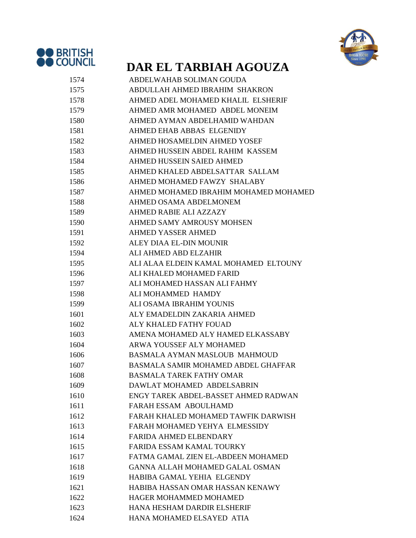



| 1574 | ABDELWAHAB SOLIMAN GOUDA               |
|------|----------------------------------------|
| 1575 | ABDULLAH AHMED IBRAHIM SHAKRON         |
| 1578 | AHMED ADEL MOHAMED KHALIL ELSHERIF     |
| 1579 | AHMED AMR MOHAMED ABDEL MONEIM         |
| 1580 | AHMED AYMAN ABDELHAMID WAHDAN          |
| 1581 | AHMED EHAB ABBAS ELGENIDY              |
| 1582 | AHMED HOSAMELDIN AHMED YOSEF           |
| 1583 | AHMED HUSSEIN ABDEL RAHIM KASSEM       |
| 1584 | AHMED HUSSEIN SAIED AHMED              |
| 1585 | AHMED KHALED ABDELSATTAR SALLAM        |
| 1586 | AHMED MOHAMED FAWZY SHALABY            |
| 1587 | AHMED MOHAMED IBRAHIM MOHAMED MOHAMED  |
| 1588 | AHMED OSAMA ABDELMONEM                 |
| 1589 | AHMED RABIE ALI AZZAZY                 |
| 1590 | AHMED SAMY AMROUSY MOHSEN              |
| 1591 | <b>AHMED YASSER AHMED</b>              |
| 1592 | ALEY DIAA EL-DIN MOUNIR                |
| 1594 | ALI AHMED ABD ELZAHIR                  |
| 1595 | ALI ALAA ELDEIN KAMAL MOHAMED ELTOUNY  |
| 1596 | ALI KHALED MOHAMED FARID               |
| 1597 | ALI MOHAMED HASSAN ALI FAHMY           |
| 1598 | ALI MOHAMMED HAMDY                     |
| 1599 | ALI OSAMA IBRAHIM YOUNIS               |
| 1601 | ALY EMADELDIN ZAKARIA AHMED            |
| 1602 | ALY KHALED FATHY FOUAD                 |
| 1603 | AMENA MOHAMED ALY HAMED ELKASSABY      |
| 1604 | ARWA YOUSSEF ALY MOHAMED               |
| 1606 | BASMALA AYMAN MASLOUB MAHMOUD          |
| 1607 | BASMALA SAMIR MOHAMED ABDEL GHAFFAR    |
| 1608 | <b>BASMALA TAREK FATHY OMAR</b>        |
| 1609 | DAWLAT MOHAMED ABDELSABRIN             |
| 1610 | ENGY TAREK ABDEL-BASSET AHMED RADWAN   |
| 1611 | <b>FARAH ESSAM ABOULHAMD</b>           |
| 1612 | FARAH KHALED MOHAMED TAWFIK DARWISH    |
| 1613 | FARAH MOHAMED YEHYA ELMESSIDY          |
| 1614 | <b>FARIDA AHMED ELBENDARY</b>          |
| 1615 | <b>FARIDA ESSAM KAMAL TOURKY</b>       |
| 1617 | FATMA GAMAL ZIEN EL-ABDEEN MOHAMED     |
| 1618 | <b>GANNA ALLAH MOHAMED GALAL OSMAN</b> |
| 1619 | HABIBA GAMAL YEHIA ELGENDY             |
| 1621 | HABIBA HASSAN OMAR HASSAN KENAWY       |
| 1622 | <b>HAGER MOHAMMED MOHAMED</b>          |
| 1623 | HANA HESHAM DARDIR ELSHERIF            |
| 1624 | HANA MOHAMED ELSAYED ATIA              |
|      |                                        |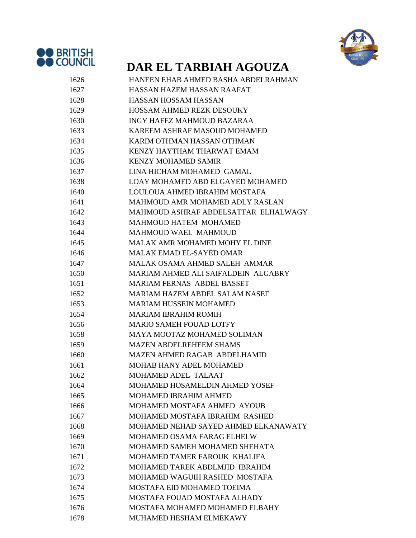



| 1626 | HANEEN EHAB AHMED BASHA ABDELRAHMAN   |
|------|---------------------------------------|
| 1627 | HASSAN HAZEM HASSAN RAAFAT            |
| 1628 | <b>HASSAN HOSSAM HASSAN</b>           |
| 1629 | <b>HOSSAM AHMED REZK DESOUKY</b>      |
| 1630 | INGY HAFEZ MAHMOUD BAZARAA            |
| 1633 | KAREEM ASHRAF MASOUD MOHAMED          |
| 1634 | KARIM OTHMAN HASSAN OTHMAN            |
| 1635 | KENZY HAYTHAM THARWAT EMAM            |
| 1636 | <b>KENZY MOHAMED SAMIR</b>            |
| 1637 | LINA HICHAM MOHAMED GAMAL             |
| 1638 | LOAY MOHAMED ABD ELGAYED MOHAMED      |
| 1640 | LOULOUA AHMED IBRAHIM MOSTAFA         |
| 1641 | MAHMOUD AMR MOHAMED ADLY RASLAN       |
| 1642 | MAHMOUD ASHRAF ABDELSATTAR ELHALWAGY  |
| 1643 | <b>MAHMOUD HATEM MOHAMED</b>          |
| 1644 | MAHMOUD WAEL MAHMOUD                  |
| 1645 | <b>MALAK AMR MOHAMED MOHY EL DINE</b> |
| 1646 | <b>MALAK EMAD EL-SAYED OMAR</b>       |
| 1647 | MALAK OSAMA AHMED SALEH AMMAR         |
| 1650 | MARIAM AHMED ALI SAIFALDEIN ALGABRY   |
| 1651 | <b>MARIAM FERNAS ABDEL BASSET</b>     |
| 1652 | <b>MARIAM HAZEM ABDEL SALAM NASEF</b> |
| 1653 | <b>MARIAM HUSSEIN MOHAMED</b>         |
| 1654 | <b>MARIAM IBRAHIM ROMIH</b>           |
| 1656 | <b>MARIO SAMEH FOUAD LOTFY</b>        |
| 1658 | MAYA MOOTAZ MOHAMED SOLIMAN           |
| 1659 | <b>MAZEN ABDELREHEEM SHAMS</b>        |
| 1660 | MAZEN AHMED RAGAB ABDELHAMID          |
| 1661 | <b>MOHAB HANY ADEL MOHAMED</b>        |
| 1662 | MOHAMED ADEL TALAAT                   |
| 1664 | MOHAMED HOSAMELDIN AHMED YOSEF        |
| 1665 | <b>MOHAMED IBRAHIM AHMED</b>          |
| 1666 | MOHAMED MOSTAFA AHMED AYOUB           |
| 1667 | MOHAMED MOSTAFA IBRAHIM RASHED        |
| 1668 | MOHAMED NEHAD SAYED AHMED ELKANAWATY  |
| 1669 | MOHAMED OSAMA FARAG ELHELW            |
| 1670 | MOHAMED SAMEH MOHAMED SHEHATA         |
| 1671 | MOHAMED TAMER FAROUK KHALIFA          |
| 1672 | MOHAMED TAREK ABDLMJID IBRAHIM        |
| 1673 | MOHAMED WAGUIH RASHED MOSTAFA         |
| 1674 | <b>MOSTAFA EID MOHAMED TOEIMA</b>     |
| 1675 | MOSTAFA FOUAD MOSTAFA ALHADY          |
| 1676 | MOSTAFA MOHAMED MOHAMED ELBAHY        |
| 1678 | MUHAMED HESHAM ELMEKAWY               |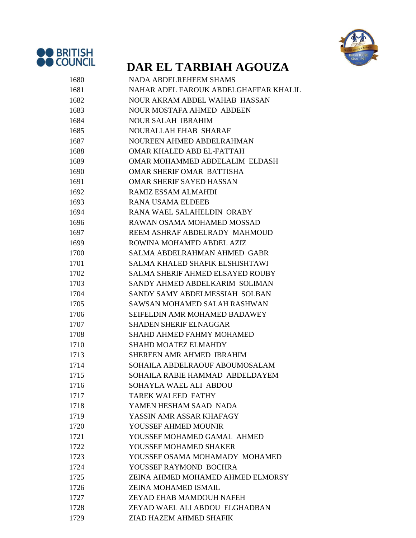



| 1680 | <b>NADA ABDELREHEEM SHAMS</b>           |
|------|-----------------------------------------|
| 1681 | NAHAR ADEL FAROUK ABDELGHAFFAR KHALIL   |
| 1682 | NOUR AKRAM ABDEL WAHAB HASSAN           |
| 1683 | <b>NOUR MOSTAFA AHMED ABDEEN</b>        |
| 1684 | <b>NOUR SALAH IBRAHIM</b>               |
| 1685 | NOURALLAH EHAB SHARAF                   |
| 1687 | NOUREEN AHMED ABDELRAHMAN               |
| 1688 | OMAR KHALED ABD EL-FATTAH               |
| 1689 | OMAR MOHAMMED ABDELALIM ELDASH          |
| 1690 | <b>OMAR SHERIF OMAR BATTISHA</b>        |
| 1691 | <b>OMAR SHERIF SAYED HASSAN</b>         |
| 1692 | RAMIZ ESSAM ALMAHDI                     |
| 1693 | <b>RANA USAMA ELDEEB</b>                |
| 1694 | RANA WAEL SALAHELDIN ORABY              |
| 1696 | RAWAN OSAMA MOHAMED MOSSAD              |
| 1697 | REEM ASHRAF ABDELRADY MAHMOUD           |
| 1699 | ROWINA MOHAMED ABDEL AZIZ               |
| 1700 | SALMA ABDELRAHMAN AHMED GABR            |
| 1701 | <b>SALMA KHALED SHAFIK ELSHISHTAWI</b>  |
| 1702 | <b>SALMA SHERIF AHMED ELSAYED ROUBY</b> |
| 1703 | SANDY AHMED ABDELKARIM SOLIMAN          |
| 1704 | SANDY SAMY ABDELMESSIAH SOLBAN          |
| 1705 | SAWSAN MOHAMED SALAH RASHWAN            |
| 1706 | SEIFELDIN AMR MOHAMED BADAWEY           |
| 1707 | <b>SHADEN SHERIF ELNAGGAR</b>           |
| 1708 | <b>SHAHD AHMED FAHMY MOHAMED</b>        |
| 1710 | <b>SHAHD MOATEZ ELMAHDY</b>             |
| 1713 | SHEREEN AMR AHMED IBRAHIM               |
| 1714 | SOHAILA ABDELRAOUF ABOUMOSALAM          |
| 1715 | SOHAILA RABIE HAMMAD ABDELDAYEM         |
| 1716 | SOHAYLA WAEL ALI ABDOU                  |
| 1717 | <b>TAREK WALEED FATHY</b>               |
| 1718 | YAMEN HESHAM SAAD NADA                  |
| 1719 | YASSIN AMR ASSAR KHAFAGY                |
| 1720 | YOUSSEF AHMED MOUNIR                    |
| 1721 | YOUSSEF MOHAMED GAMAL AHMED             |
| 1722 | YOUSSEF MOHAMED SHAKER                  |
| 1723 | YOUSSEF OSAMA MOHAMADY MOHAMED          |
| 1724 | YOUSSEF RAYMOND BOCHRA                  |
| 1725 | ZEINA AHMED MOHAMED AHMED ELMORSY       |
| 1726 | ZEINA MOHAMED ISMAIL                    |
| 1727 | ZEYAD EHAB MAMDOUH NAFEH                |
| 1728 | ZEYAD WAEL ALI ABDOU ELGHADBAN          |
| 1729 | ZIAD HAZEM AHMED SHAFIK                 |